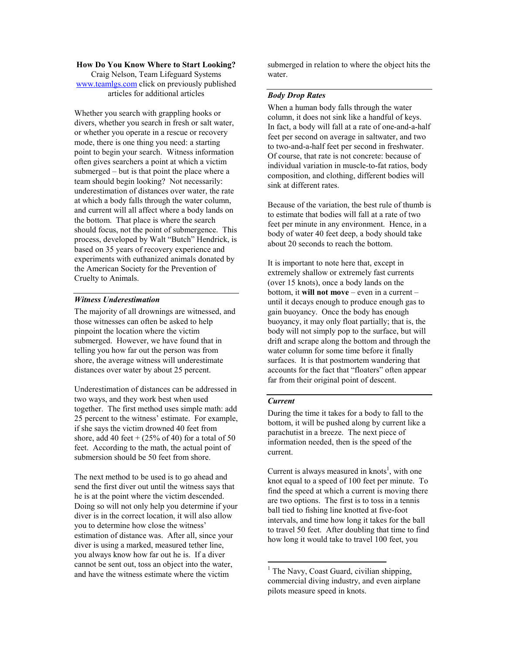#### How Do You Know Where to Start Looking?

Craig Nelson, Team Lifeguard Systems www.teamlgs.com click on previously published articles for additional articles

Whether you search with grappling hooks or divers, whether you search in fresh or salt water, or whether you operate in a rescue or recovery mode, there is one thing you need: a starting point to begin your search. Witness information often gives searchers a point at which a victim submerged – but is that point the place where a team should begin looking? Not necessarily: underestimation of distances over water, the rate at which a body falls through the water column, and current will all affect where a body lands on the bottom. That place is where the search should focus, not the point of submergence. This process, developed by Walt "Butch" Hendrick, is based on 35 years of recovery experience and experiments with euthanized animals donated by the American Society for the Prevention of Cruelty to Animals.

#### Witness Underestimation

The majority of all drownings are witnessed, and those witnesses can often be asked to help pinpoint the location where the victim submerged. However, we have found that in telling you how far out the person was from shore, the average witness will underestimate distances over water by about 25 percent.

Underestimation of distances can be addressed in two ways, and they work best when used together. The first method uses simple math: add 25 percent to the witness' estimate. For example, if she says the victim drowned 40 feet from shore, add 40 feet  $+(25\% \text{ of } 40)$  for a total of 50 feet. According to the math, the actual point of submersion should be 50 feet from shore.

The next method to be used is to go ahead and send the first diver out until the witness says that he is at the point where the victim descended. Doing so will not only help you determine if your diver is in the correct location, it will also allow you to determine how close the witness' estimation of distance was. After all, since your diver is using a marked, measured tether line, you always know how far out he is. If a diver cannot be sent out, toss an object into the water, and have the witness estimate where the victim

submerged in relation to where the object hits the water.

# Body Drop Rates

When a human body falls through the water column, it does not sink like a handful of keys. In fact, a body will fall at a rate of one-and-a-half feet per second on average in saltwater, and two to two-and-a-half feet per second in freshwater. Of course, that rate is not concrete: because of individual variation in muscle-to-fat ratios, body composition, and clothing, different bodies will sink at different rates.

Because of the variation, the best rule of thumb is to estimate that bodies will fall at a rate of two feet per minute in any environment. Hence, in a body of water 40 feet deep, a body should take about 20 seconds to reach the bottom.

It is important to note here that, except in extremely shallow or extremely fast currents (over 15 knots), once a body lands on the bottom, it will not move – even in a current – until it decays enough to produce enough gas to gain buoyancy. Once the body has enough buoyancy, it may only float partially; that is, the body will not simply pop to the surface, but will drift and scrape along the bottom and through the water column for some time before it finally surfaces. It is that postmortem wandering that accounts for the fact that "floaters" often appear far from their original point of descent.

## Current

<u>.</u>

During the time it takes for a body to fall to the bottom, it will be pushed along by current like a parachutist in a breeze. The next piece of information needed, then is the speed of the current.

Current is always measured in knots<sup>1</sup>, with one knot equal to a speed of 100 feet per minute. To find the speed at which a current is moving there are two options. The first is to toss in a tennis ball tied to fishing line knotted at five-foot intervals, and time how long it takes for the ball to travel 50 feet. After doubling that time to find how long it would take to travel 100 feet, you

<sup>&</sup>lt;sup>1</sup> The Navy, Coast Guard, civilian shipping, commercial diving industry, and even airplane pilots measure speed in knots.